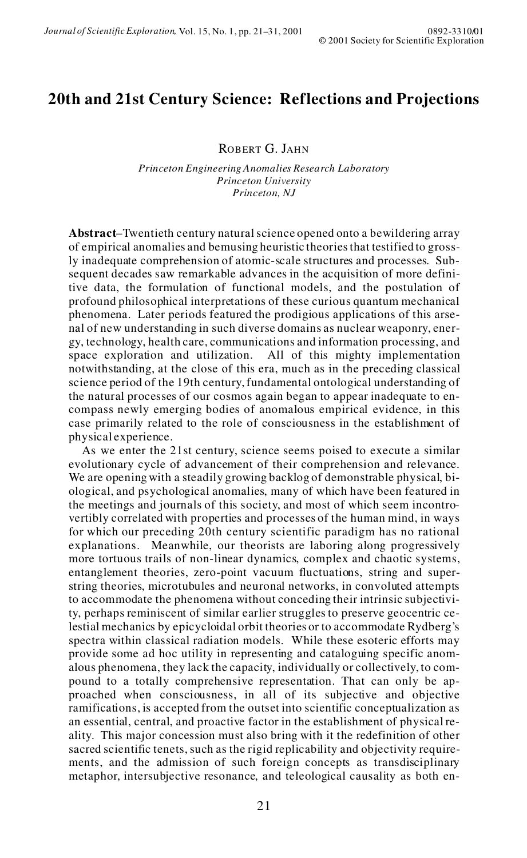# **20th and 21st Century Science: Reflections and Projections**

ROBERT G. JAHN

*Princeton Engineering Anomalies Research Laboratory Princeton University Princeton, NJ*

**Abstract**–Twentieth century natural science opened onto a bewildering array of empirical anomalies and bemusing heuristic theories that testified to grossly inadequate comprehension of atomic-scale structures and processes. Subsequent decades saw remarkable advances in the acquisition of more definitive data, the formulation of functional models, and the postulation of profound philosophical interpretations of these curious quantum mechanical phenomena. Later periods featured the prodigious applications of this arse nal of new understanding in such diverse domains as nuclear weaponry, ener gy, technology, health care, communications and information processing, and space exploration and utilization. All of this mighty implementation notwithstanding, at the close of this era, much as in the preceding classical science period of the 19th century, fundamental ontological understanding of the natural processes of our cosmos again began to appear inadequate to en compass newly emerging bodies of anomalous empirical evidence, in this case primarily related to the role of consciousness in the establishment of physical experience.

As we enter the 21st century, science seems poised to execute a similar evolutionary cycle of advancement of their comprehension and relevance. We are opening with a steadily growing backlog of demonstrable physical, biological, and psychological anomalies, many of which have been featured in the meetings and journals of this society, and most of which seem incontro vertibly correlated with properties and processes of the human mind, in ways for which our preceding 20th century scientific paradigm has no rational explanations. Meanwhile, our theorists are laboring along progressively more tortuous trails of non-linear dynamics, complex and chaotic systems, entanglement theories, zero-point vacuum fluctuations, string and superstring theories, microtubules and neuronal networks, in convoluted attempts to accommodate the phenomena without conceding their intrinsic subjectivity, perhaps reminiscent of similar earlier struggles to preserve geocentric celestial mechanics by epicycloidal orbit theories or to accommodate Rydberg's spectra within classical radiation models. While these esoteric efforts may provide some ad hoc utility in representing and cataloguing specific anom alous phenomena, they lack the capacity, individually or collectively, to com pound to a totally comprehensive representation. That can only be approached when consciousness, in all of its subjective and objective ramifications, is accepted from the outset into scientific conceptualization as an essential, central, and proactive factor in the establishment of physical re ality. This major concession must also bring with it the redefinition of other sacred scientific tenets, such as the rigid replicability and objectivity requirements, and the admission of such foreign concepts as transdisciplinary metaphor, intersubjective resonance, and teleological causality as both en-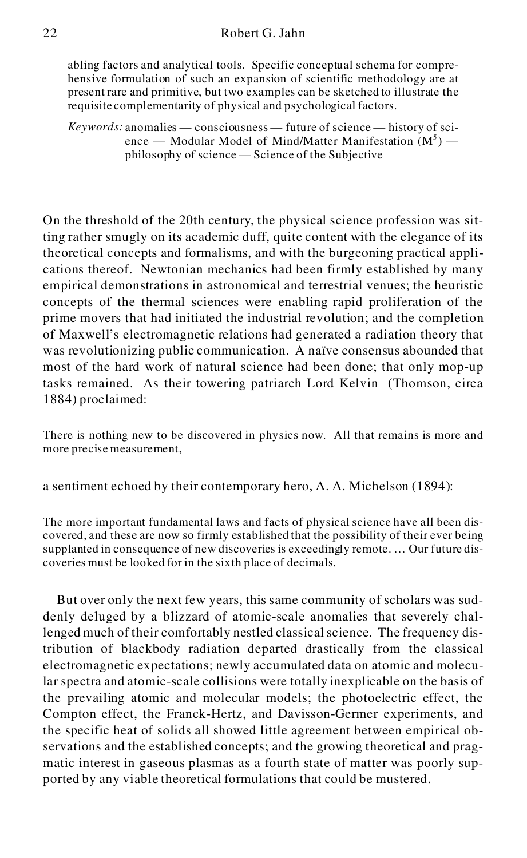## 22 Robert G. Jahn

abling factors and analytical tools. Specific conceptual schema for comprehensive formulation of such an expansion of scientific methodology are at present rare and primitive, but two examples can be sketched to illustrate the requisite complementarity of physical and psychological factors.

*Keywords:* anomalies — consciousness — future of science — history of sci ence — Modular Model of Mind/Matter Manifestation  $(M^5)$  philosophy of science — Science of the Subjective

On the threshold of the 20th century, the physical science profession was sitting rather smugly on its academic duff, quite content with the elegance of its theoretical concepts and formalisms, and with the burgeoning practical applications thereof. Newtonian mechanics had been firmly established by many empirical demonstrations in astronomical and terrestrial venues; the heuristic concepts of the thermal sciences were enabling rapid proliferation of the prime movers that had initiated the industrial revolution; and the completion of Maxwell's electromagnetic relations had generated a radiation theory that was revolutionizing public communication. A naïve consensus abounded that most of the hard work of natural science had been done; that only mop-up tasks remained. As their towering patriarch Lord Kelvin (Thomson, circa 1884) proclaimed:

There is nothing new to be discovered in physics now. All that remains is more and more precise measurement,

a sentiment echoed by their contemporary hero, A. A. Michelson (1894):

The more important fundamental laws and facts of physical science have all been discovered, and these are now so firmly established that the possibility of their ever being supplanted in consequence of new discoveries is exceedingly remote. … Our future discoveries must be looked for in the sixth place of decimals.

But over only the next few years, this same community of scholars was suddenly deluged by a blizzard of atomic-scale anomalies that severely challenged much of their comfortably nestled classical science. The frequency distribution of blackbody radiation departed drastically from the classical electromagnetic expectations; newly accumulated data on atomic and molecular spectra and atomic-scale collisions were totally inexplicable on the basis of the prevailing atomic and molecular models; the photoelectric effect, the Compton effect, the Franck-Hertz, and Davisson-Germer experiments, and the specific heat of solids all showed little agreement between empirical observations and the established concepts; and the growing theoretical and pragmatic interest in gaseous plasmas as a fourth state of matter was poorly supported by any viable theoretical formulations that could be mustered.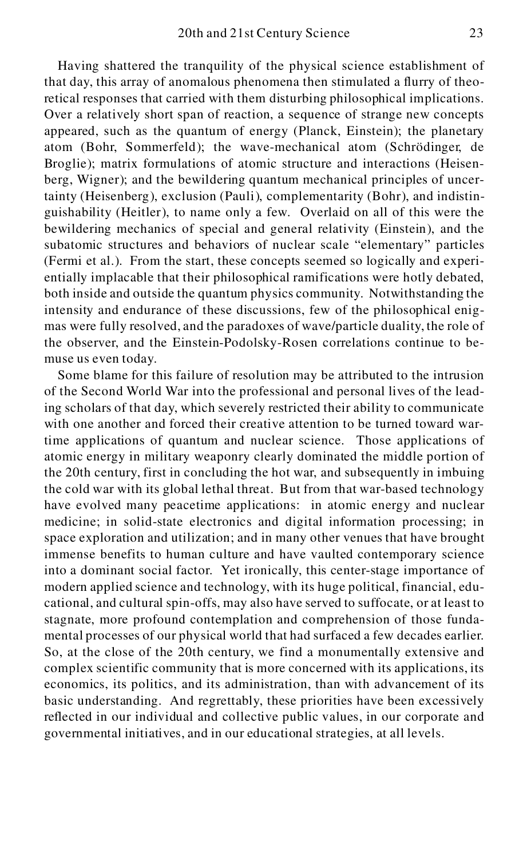Having shattered the tranquility of the physical science establishment of that day, this array of anomalous phenomena then stimulated a flurry of theoretical responses that carried with them disturbing philosophical implications. Over a relatively short span of reaction, a sequence of strange new concepts appeared, such as the quantum of energy (Planck, Einstein); the planetary atom (Bohr, Sommerfeld); the wave-mechanical atom (Schrödinger, de Broglie); matrix formulations of atomic structure and interactions (Heisenberg, Wigner); and the bewildering quantum mechanical principles of uncertainty (Heisenberg), exclusion (Pauli), complementarity (Bohr), and indistinguishability (Heitler), to name only a few. Overlaid on all of this were the bewildering mechanics of special and general relativity (Einstein), and the subatomic structures and behaviors of nuclear scale "elementary" particles (Fermi et al.). From the start, these concepts seemed so logically and experientially implacable that their philosophical ramifications were hotly debated, both inside and outside the quantum physics community. Notwithstanding the intensity and endurance of these discussions, few of the philosophical enigmas were fully resolved, and the paradoxes of wave/particle duality, the role of the observer, and the Einstein-Podolsky-Rosen correlations continue to bemuse us even today.

Some blame for this failure of resolution may be attributed to the intrusion of the Second World War into the professional and personal lives of the leading scholars of that day, which severely restricted their ability to communicate with one another and forced their creative attention to be turned toward wartime applications of quantum and nuclear science. Those applications of atomic energy in military weaponry clearly dominated the middle portion of the 20th century, first in concluding the hot war, and subsequently in imbuing the cold war with its global lethal threat. But from that war-based technology have evolved many peacetime applications: in atomic energy and nuclear medicine; in solid-state electronics and digital information processing; in space exploration and utilization; and in many other venues that have brought immense benefits to human culture and have vaulted contemporary science into a dominant social factor. Yet ironically, this center-stage importance of modern applied science and technology, with its huge political, financial, educational, and cultural spin-offs, may also have served to suffocate, or at least to stagnate, more profound contemplation and comprehension of those fundamental processes of our physical world that had surfaced a few decades earlier. So, at the close of the 20th century, we find a monumentally extensive and complex scientific community that is more concerned with its applications, its economics, its politics, and its administration, than with advancement of its basic understanding. And regrettably, these priorities have been excessively reflected in our individual and collective public values, in our corporate and governmental initiatives, and in our educational strategies, at all levels.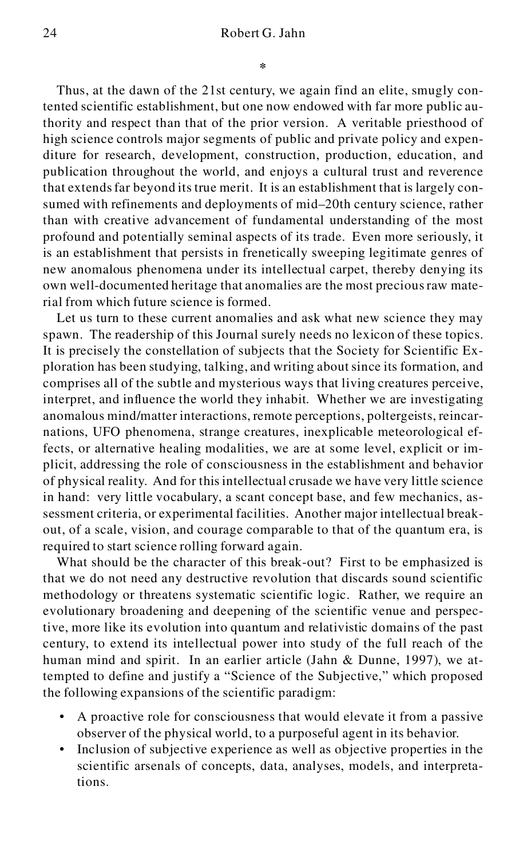### 24 Robert G. Jahn

Thus, at the dawn of the 21st century, we again find an elite, smugly contented scientific establishment, but one now endowed with far more public authority and respect than that of the prior version. A veritable priesthood of high science controls major segments of public and private policy and expenditure for research, development, construction, production, education, and publication throughout the world, and enjoys a cultural trust and reverence that extendsfar beyond its true merit. It is an establishment that is largely consumed with refinements and deployments of mid–20th century science, rather than with creative advancement of fundamental understanding of the most profound and potentially seminal aspects of its trade. Even more seriously, it is an establishment that persists in frenetically sweeping legitimate genres of new anomalous phenomena under its intellectual carpet, thereby denying its own well-documented heritage that anomalies are the most preciousraw material from which future science is formed.

Let us turn to these current anomalies and ask what new science they may spawn. The readership of this Journal surely needs no lexicon of these topics. It is precisely the constellation of subjects that the Society for Scientific Exploration has been studying, talking, and writing about since its formation, and comprises all of the subtle and mysterious ways that living creatures perceive, interpret, and influence the world they inhabit. Whether we are investigating anomalous mind/matter interactions, remote perceptions, poltergeists, reincarnations, UFO phenomena, strange creatures, inexplicable meteorological effects, or alternative healing modalities, we are at some level, explicit or implicit, addressing the role of consciousness in the establishment and behavior of physical reality. And for this intellectual crusade we have very little science in hand: very little vocabulary, a scant concept base, and few mechanics, assessment criteria, or experimental facilities. Another major intellectual breakout, of a scale, vision, and courage comparable to that of the quantum era, is required to start science rolling forward again.

What should be the character of this break-out? First to be emphasized is that we do not need any destructive revolution that discards sound scientific methodology or threatens systematic scientific logic. Rather, we require an evolutionary broadening and deepening of the scientific venue and perspective, more like its evolution into quantum and relativistic domains of the past century, to extend its intellectual power into study of the full reach of the human mind and spirit. In an earlier article (Jahn & Dunne, 1997), we attempted to define and justify a "Science of the Subjective," which proposed the following expansions of the scientific paradigm:

- A proactive role for consciousness that would elevate it from a passive observer of the physical world, to a purposeful agent in its behavior.
- Inclusion of subjective experience as well as objective properties in the scientific arsenals of concepts, data, analyses, models, and interpretations.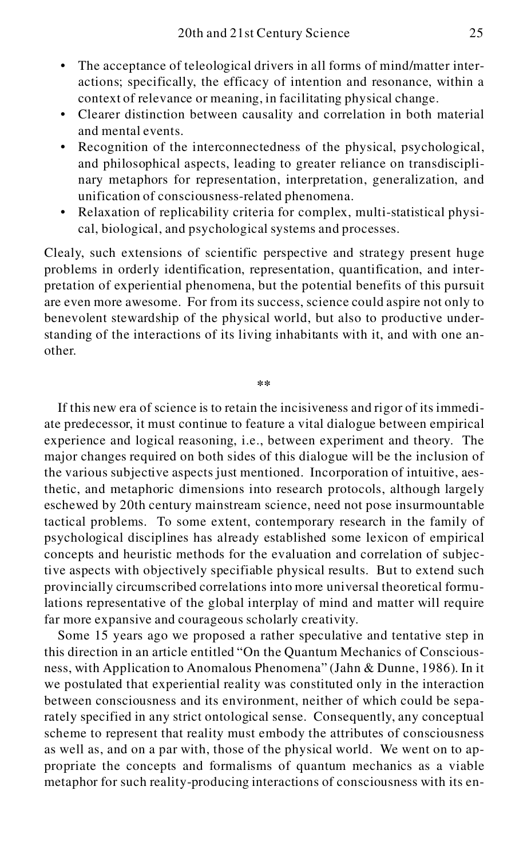- The acceptance of teleological drivers in all forms of mind/matter interactions; specifically, the efficacy of intention and resonance, within a context of relevance or meaning, in facilitating physical change.
- Clearer distinction between causality and correlation in both material and mental events.
- Recognition of the interconnectedness of the physical, psychological, and philosophical aspects, leading to greater reliance on transdisciplinary metaphors for representation, interpretation, generalization, and unification of consciousness-related phenomena.
- Relaxation of replicability criteria for complex, multi-statistical physical, biological, and psychological systems and processes.

Clealy, such extensions of scientific perspective and strategy present huge problems in orderly identification, representation, quantification, and interpretation of experiential phenomena, but the potential benefits of this pursuit are even more awesome. For from its success, science could aspire not only to benevolent stewardship of the physical world, but also to productive understanding of the interactions of its living inhabitants with it, and with one another.

**\*\***

If this new era of science is to retain the incisiveness and rigor of its immediate predecessor, it must continue to feature a vital dialogue between empirical experience and logical reasoning, i.e., between experiment and theory. The major changes required on both sides of this dialogue will be the inclusion of the various subjective aspects just mentioned. Incorporation of intuitive, aesthetic, and metaphoric dimensions into research protocols, although largely eschewed by 20th century mainstream science, need not pose insurmountable tactical problems. To some extent, contemporary research in the family of psychological disciplines has already established some lexicon of empirical concepts and heuristic methods for the evaluation and correlation of subjective aspects with objectively specifiable physical results. But to extend such provincially circumscribed correlations into more universal theoretical formulations representative of the global interplay of mind and matter will require far more expansive and courageous scholarly creativity.

Some 15 years ago we proposed a rather speculative and tentative step in this direction in an article entitled "On the Quantum Mechanics of Consciousness, with Application to Anomalous Phenomena" (Jahn & Dunne, 1986). In it we postulated that experiential reality was constituted only in the interaction between consciousness and its environment, neither of which could be separately specified in any strict ontological sense. Consequently, any conceptual scheme to represent that reality must embody the attributes of consciousness as well as, and on a par with, those of the physical world. We went on to appropriate the concepts and formalisms of quantum mechanics as a viable metaphor for such reality-producing interactions of consciousness with its en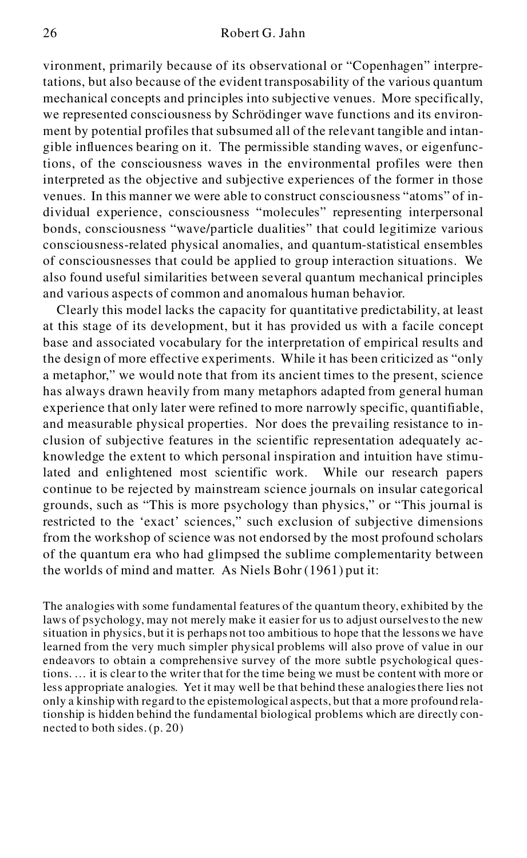vironment, primarily because of its observational or "Copenhagen" interpretations, but also because of the evident transposability of the various quantum mechanical concepts and principles into subjective venues. More specifically, we represented consciousness by Schrödinger wave functions and its environ ment by potential profiles that subsumed all of the relevant tangible and intangible influences bearing on it. The permissible standing waves, or eigenfunctions, of the consciousness waves in the environmental profiles were then interpreted as the objective and subjective experiences of the former in those venues. In this manner we were able to construct consciousness "atoms" of individual experience, consciousness "molecules" representing interpersonal bonds, consciousness "wave/particle dualities" that could legitimize various consciousness-related physical anomalies, and quantum-statistical ensembles of consciousnesses that could be applied to group interaction situations. We also found useful similarities between several quantum mechanical principles and various aspects of common and anomalous human behavior.

Clearly this model lacks the capacity for quantitative predictability, at least at this stage of its development, but it has provided us with a facile concept base and associated vocabulary for the interpretation of empirical results and the design of more effective experiments. While it has been criticized as "only a metaphor," we would note that from its ancient times to the present, science has always drawn heavily from many metaphors adapted from general human experience that only later were refined to more narrowly specific, quantifiable, and measurable physical properties. Nor does the prevailing resistance to inclusion of subjective features in the scientific representation adequately acknowledge the extent to which personal inspiration and intuition have stimulated and enlightened most scientific work. While our research papers continue to be rejected by mainstream science journals on insular categorical grounds, such as "This is more psychology than physics," or "This journal is restricted to the 'exact' sciences," such exclusion of subjective dimensions from the workshop of science was not endorsed by the most profound scholars of the quantum era who had glimpsed the sublime complementarity between the worlds of mind and matter. As Niels Bohr (1961) put it:

The analogies with some fundamental features of the quantum theory, exhibited by the laws of psychology, may not merely make it easier for us to adjust ourselvesto the new situation in physics, but it is perhaps not too ambitious to hope that the lessons we have learned from the very much simpler physical problems will also prove of value in our endeavors to obtain a comprehensive survey of the more subtle psychological questions. … it is clear to the writer that for the time being we must be content with more or less appropriate analogies. Yet it may well be that behind these analogiesthere lies not only a kinship with regard to the epistemological aspects, but that a more profound relationship is hidden behind the fundamental biological problems which are directly con nected to both sides. (p. 20)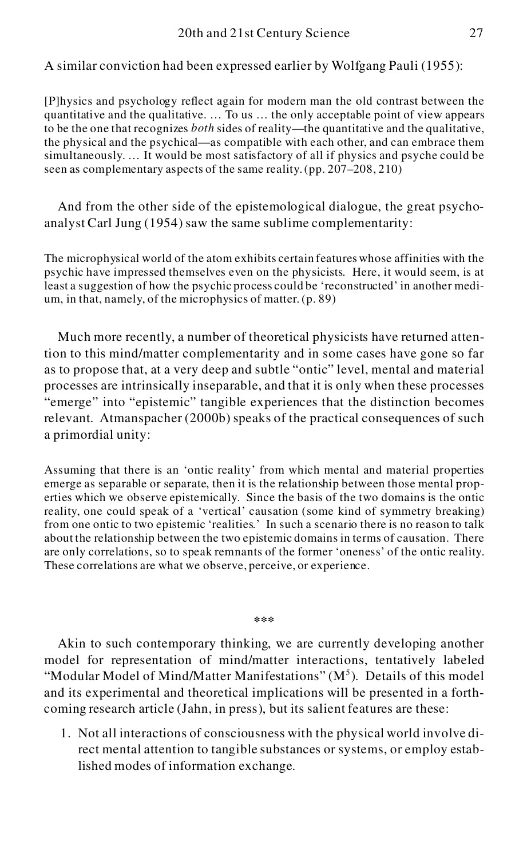A similar conviction had been expressed earlier by Wolfgang Pauli (1955):

[P]hysics and psychology reflect again for modern man the old contrast between the quantitative and the qualitative. … To us … the only acceptable point of view appears to be the one that recognizes *both* sides of reality—the quantitative and the qualitative, the physical and the psychical—as compatible with each other, and can embrace them simultaneously. … It would be most satisfactory of all if physics and psyche could be seen as complementary aspects of the same reality. (pp. 207–208, 210)

And from the other side of the epistemological dialogue, the great psycho analyst Carl Jung (1954) saw the same sublime complementarity:

The microphysical world of the atom exhibits certain features whose affinities with the psychic have impressed themselves even on the physicists. Here, it would seem, is at least a suggestion of how the psychic process could be 'reconstructed' in another medium, in that, namely, of the microphysics of matter. (p. 89)

Much more recently, a number of theoretical physicists have returned attention to this mind/matter complementarity and in some cases have gone so far as to propose that, at a very deep and subtle "ontic" level, mental and material processes are intrinsically inseparable, and that it is only when these processes "emerge" into "epistemic" tangible experiences that the distinction becomes relevant. Atmanspacher (2000b) speaks of the practical consequences of such a primordial unity:

Assuming that there is an 'ontic reality' from which mental and material properties emerge as separable or separate, then it is the relationship between those mental properties which we observe epistemically. Since the basis of the two domains is the ontic reality, one could speak of a 'vertical' causation (some kind of symmetry breaking) from one ontic to two epistemic 'realities.' In such a scenario there is no reason to talk about the relationship between the two epistemic domains in terms of causation. There are only correlations, so to speak remnants of the former 'oneness' of the ontic reality. These correlations are what we observe, perceive, or experience.

#### **\*\*\***

Akin to such contemporary thinking, we are currently developing another model for representation of mind/matter interactions, tentatively labeled "Modular Model of Mind/Matter Manifestations"  $(M<sup>5</sup>)$ . Details of this model and its experimental and theoretical implications will be presented in a forthcoming research article (Jahn, in press), but its salient features are these:

1. Not all interactions of consciousness with the physical world involve direct mental attention to tangible substances or systems, or employ established modes of information exchange.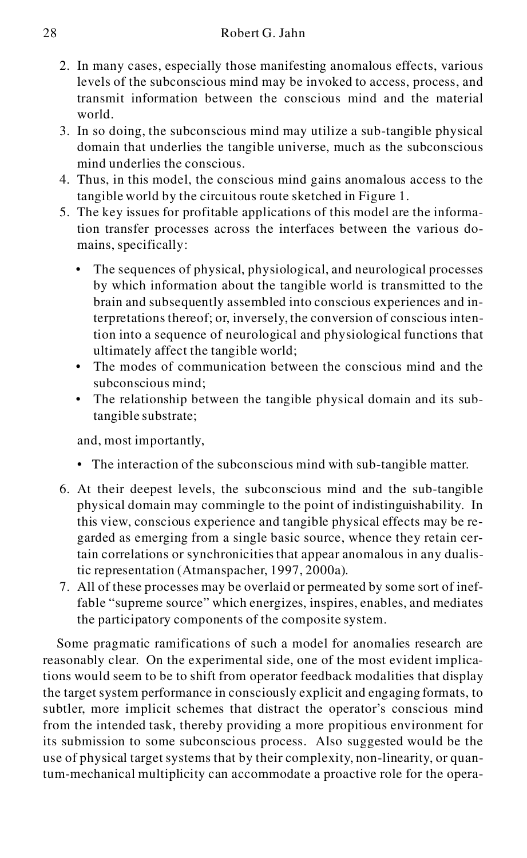- 2. In many cases, especially those manifesting anomalous effects, various levels of the subconscious mind may be invoked to access, process, and transmit information between the conscious mind and the material world.
- 3. In so doing, the subconscious mind may utilize a sub-tangible physical domain that underlies the tangible universe, much as the subconscious mind underlies the conscious.
- 4. Thus, in this model, the conscious mind gains anomalous access to the tangible world by the circuitous route sketched in Figure 1.
- 5. The key issues for profitable applications of this model are the information transfer processes across the interfaces between the various domains, specifically:
	- The sequences of physical, physiological, and neurological processes by which information about the tangible world is transmitted to the brain and subsequently assembled into conscious experiences and interpretations thereof; or, inversely, the conversion of conscious intention into a sequence of neurological and physiological functions that ultimately affect the tangible world;
	- The modes of communication between the conscious mind and the subconscious mind;
	- The relationship between the tangible physical domain and its subtangible substrate;

and, most importantly,

- The interaction of the subconscious mind with sub-tangible matter.
- 6. At their deepest levels, the subconscious mind and the sub-tangible physical domain may commingle to the point of indistinguishability. In this view, conscious experience and tangible physical effects may be regarded as emerging from a single basic source, whence they retain certain correlations or synchronicities that appear anomalous in any dualistic representation (Atmanspacher, 1997, 2000a).
- 7. All of these processes may be overlaid or permeated by some sort of ineffable "supreme source" which energizes, inspires, enables, and mediates the participatory components of the composite system.

Some pragmatic ramifications of such a model for anomalies research are reasonably clear. On the experimental side, one of the most evident implications would seem to be to shift from operator feedback modalities that display the target system performance in consciously explicit and engaging formats, to subtler, more implicit schemes that distract the operator's conscious mind from the intended task, thereby providing a more propitious environment for its submission to some subconscious process. Also suggested would be the use of physical target systems that by their complexity, non-linearity, or quantum-mechanical multiplicity can accommodate a proactive role for the opera-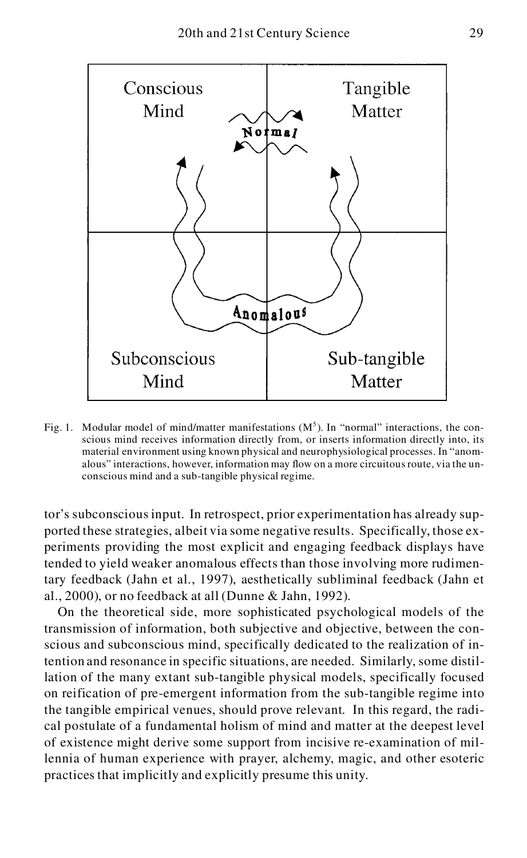

Fig. 1. Modular model of mind/matter manifestations  $(M<sup>5</sup>)$ . In "normal" interactions, the conscious mind receives information directly from, or inserts information directly into, its material environment using known physical and neurophysiological processes. In "anom alous" interactions, however, information may flow on a more circuitous route, via the un conscious mind and a sub-tangible physical regime.

tor's subconscious input. In retrospect, prior experimentation has already supported these strategies, albeit via some negative results. Specifically, those experiments providing the most explicit and engaging feedback displays have tended to yield weaker anomalous effects than those involving more rudimentary feedback (Jahn et al., 1997), aesthetically subliminal feedback (Jahn et al., 2000), or no feedback at all (Dunne & Jahn, 1992).

On the theoretical side, more sophisticated psychological models of the transmission of information, both subjective and objective, between the conscious and subconscious mind, specifically dedicated to the realization of intention and resonance in specific situations, are needed. Similarly, some distillation of the many extant sub-tangible physical models, specifically focused on reification of pre-emergent information from the sub-tangible regime into the tangible empirical venues, should prove relevant. In this regard, the radical postulate of a fundamental holism of mind and matter at the deepest level of existence might derive some support from incisive re-examination of millennia of human experience with prayer, alchemy, magic, and other esoteric practices that implicitly and explicitly presume this unity.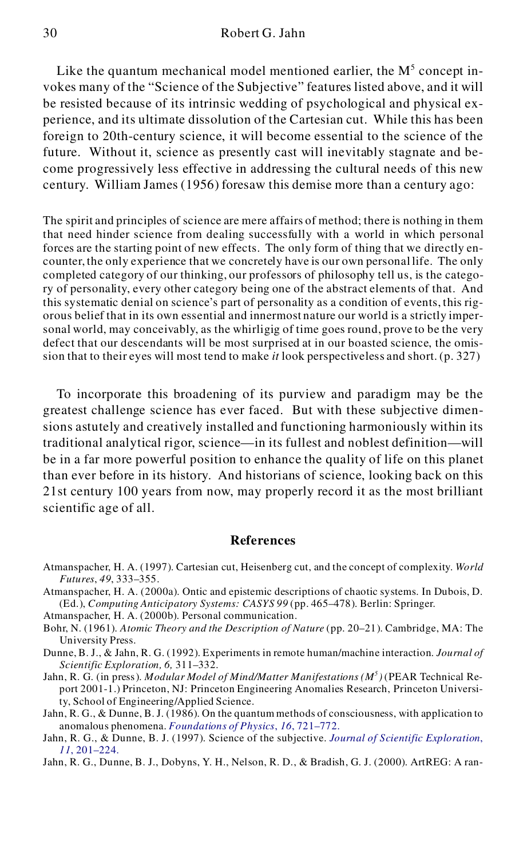Like the quantum mechanical model mentioned earlier, the  $M<sup>5</sup>$  concept invokes many of the "Science of the Subjective" features listed above, and it will be resisted because of its intrinsic wedding of psychological and physical experience, and its ultimate dissolution of the Cartesian cut. While this has been foreign to 20th-century science, it will become essential to the science of the future. Without it, science as presently cast will inevitably stagnate and become progressively less effective in addressing the cultural needs of this new century. William James (1956) foresaw this demise more than a century ago:

The spirit and principles of science are mere affairs of method; there is nothing in them that need hinder science from dealing successfully with a world in which personal forces are the starting point of new effects. The only form of thing that we directly en counter, the only experience that we concretely have is our own personal life. The only completed category of our thinking, our professors of philosophy tell us, is the category of personality, every other category being one of the abstract elements of that. And this systematic denial on science's part of personality as a condition of events, this rig orous belief that in its own essential and innermost nature our world is a strictly impersonal world, may conceivably, as the whirligig of time goes round, prove to be the very defect that our descendants will be most surprised at in our boasted science, the omission that to their eyes will most tend to make *it* look perspectiveless and short. (p. 327)

To incorporate this broadening of its purview and paradigm may be the greatest challenge science has ever faced. But with these subjective dimensions astutely and creatively installed and functioning harmoniously within its traditional analytical rigor, science—in its fullest and noblest definition—will be in a far more powerful position to enhance the quality of life on this planet than ever before in its history. And historians of science, looking back on this 21st century 100 years from now, may properly record it as the most brilliant scientific age of all.

#### **References**

- Atmanspacher, H. A. (1997). Cartesian cut, Heisenberg cut, and the concept of complexity. *World Futures*, *49*, 333–355.
- Atmanspacher, H. A. (2000a). Ontic and epistemic descriptions of chaotic systems. In Dubois, D. (Ed.), *Computing Anticipatory Systems: CASYS 99* (pp. 465–478). Berlin: Springer.

Atmanspacher, H. A. (2000b). Personal communication.

- Bohr, N. (1961). *Atomic Theory and the Description of Nature* (pp. 20–21). Cambridge, MA: The University Press.
- Dunne, B. J., & Jahn, R. G. (1992). Experiments in remote human/machine interaction. *Journal of Scientific Exploration, 6,* 311–332.
- Jahn, R. G. (in press). *Modular Model of Mind/Matter Manifestations (M<sup>5</sup> )* (PEAR Technical Report 2001-1.) Princeton, NJ: Princeton Engineering Anomalies Research, Princeton University, School of Engineering/Applied Science.
- Jahn, R. G., & Dunne, B. J. (1986). On the quantum methods of consciousness, with application to anomalous phenomena. *[Foundations of Physics](http://gessler.ingentaselect.com/nw=1/rpsv/cgi-bin/linker?ext=a&reqidx=/0015-9018^28^2916L.721[aid=977054])*, *16*, 721–772.
- Jahn, R. G., & Dunne, B. J. (1997). Science of the subjective. *[Journal of Scientific Exploration](http://gessler.ingentaselect.com/nw=1/rpsv/cgi-bin/linker?ext=a&reqidx=/0892-3310^28^2911L.201[aid=977055])*, *11*[, 201–224.](http://gessler.ingentaselect.com/nw=1/rpsv/cgi-bin/linker?ext=a&reqidx=/0892-3310^28^2911L.201[aid=977055])

Jahn, R. G., Dunne, B. J., Dobyns, Y. H., Nelson, R. D., & Bradish, G. J. (2000). ArtREG: A ran-